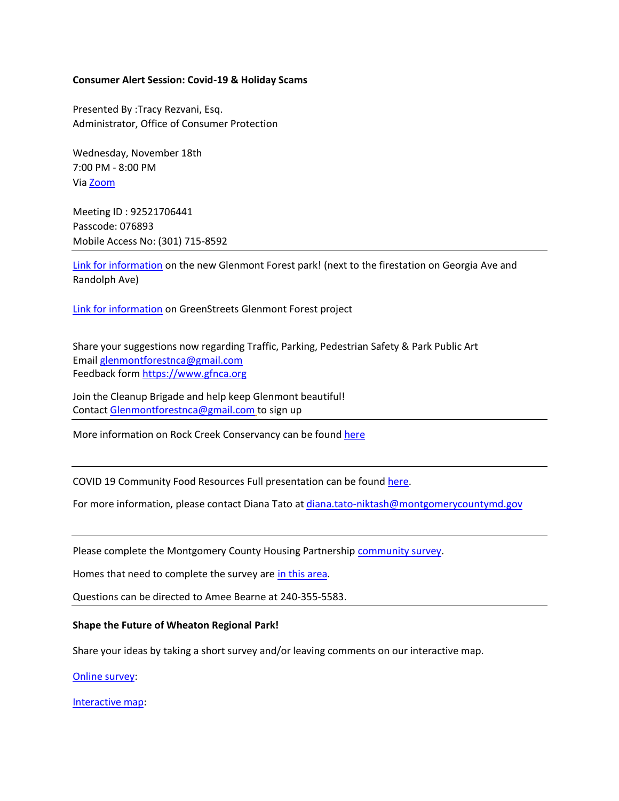## **Consumer Alert Session: Covid-19 & Holiday Scams**

Presented By :Tracy Rezvani, Esq. Administrator, Office of Consumer Protection

Wednesday, November 18th 7:00 PM - 8:00 PM Vi[a Zoom](https://zoom.us/j/92521706441?pwd=MW9ZdHpoTjVmeXVzeitXaVZyc0ZSUT09#success)

Meeting ID : 92521706441 Passcode: 076893 Mobile Access No: (301) 715-8592

Link for [information](https://www.montgomerycountymd.gov/DGS-BDC/MMC/0450900.html) on the new Glenmont Forest park! (next to the firestation on Georgia Ave and Randolph Ave)

[Link for information](https://www.montgomerycountymd.gov/water/restoration/glenmont-forest.html) on GreenStreets Glenmont Forest project

Share your suggestions now regarding Traffic, Parking, Pedestrian Safety & Park Public Art Email [glenmontforestnca@gmail.com](mailto:glenmontforestnca@gmail.com) Feedback form [https://www.gfnca.org](https://www.gfnca.org/)

Join the Cleanup Brigade and help keep Glenmont beautiful! Contact [Glenmontforestnca@gmail.com](mailto:Glenmontforestnca@gmail.com) to sign up

More information on Rock Creek Conservancy can be found [here](https://rockcreekconservancy.org/)

COVID 19 Community Food Resources Full presentation can be foun[d here.](https://docs.google.com/presentation/d/1S6oIga0malbgkZMPu_tXm_mpg2VPsDy0t0VNXA19gJ8/edit?usp=sharing)

For more information, please contact Diana Tato at [diana.tato-niktash@montgomerycountymd.gov](mailto:diana.tato-niktash@montgomerycountymd.gov)

Please complete the Montgomery County Housing Partnership [community survey.](https://bit.ly/2HnG1e6)

Homes that need to complete the survey are [in this area.](https://www.google.com/maps/d/viewer?mid=1GxlQ4safT1D2QRlzLe8zz5GqJlLBwEmC&ll=39.0522411182762%2C-77.06083350988982&z=14)

Questions can be directed to Amee Bearne at 240-355-5583.

## **Shape the Future of Wheaton Regional Park!**

Share your ideas by taking a short survey and/or leaving comments on our interactive map.

[Online survey](https://www.montgomeryparks.org/projects/public-input/#peak_democracy)[:](https://nam03.safelinks.protection.outlook.com/?url=https%3A%2F%2Fwww.montgomeryparks.org%2Fprojects%2Fpublic-input%2F%23peak_democracy&data=04%7C01%7Cmelissa.chotiner%40montgomeryparks.org%7C49b9404c238a445ebbc608d886da04bb%7Ca9061e0c24ca4c1cbeff039bb8c05816%7C0%7C1%7C637407618254913205%7CUnknown%7CTWFpbGZsb3d8eyJWIjoiMC4wLjAwMDAiLCJQIjoiV2luMzIiLCJBTiI6Ik1haWwiLCJXVCI6Mn0%3D%7C2000&sdata=TOstNyUT2jGB17PltBkMSu123cinmVe1zuWCykHjOZs%3D&reserved=0)

[Interactive map:](https://mcatlas.org/wheatonpark/)